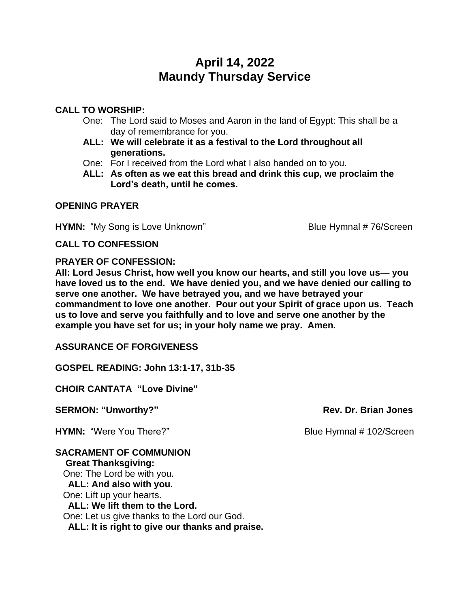# **April 14, 2022 Maundy Thursday Service**

## **CALL TO WORSHIP:**

- One: The Lord said to Moses and Aaron in the land of Egypt: This shall be a day of remembrance for you.
- **ALL: We will celebrate it as a festival to the Lord throughout all generations.**
- One: For I received from the Lord what I also handed on to you.
- **ALL: As often as we eat this bread and drink this cup, we proclaim the Lord's death, until he comes.**

### **OPENING PRAYER**

**HYMN:** "My Song is Love Unknown" Blue Hymnal # 76/Screen

#### **CALL TO CONFESSION**

#### **PRAYER OF CONFESSION:**

**All: Lord Jesus Christ, how well you know our hearts, and still you love us— you have loved us to the end. We have denied you, and we have denied our calling to serve one another. We have betrayed you, and we have betrayed your commandment to love one another. Pour out your Spirit of grace upon us. Teach us to love and serve you faithfully and to love and serve one another by the example you have set for us; in your holy name we pray. Amen.**

**ASSURANCE OF FORGIVENESS**

**GOSPEL READING: John 13:1-17, 31b-35**

**CHOIR CANTATA "Love Divine"**

**SERMON: "Unworthy?" Rev. Dr. Brian Jones** 

**HYMN:** "Were You There?" Blue Hymnal # 102/Screen

#### **SACRAMENT OF COMMUNION Great Thanksgiving:** One: The Lord be with you. **ALL: And also with you.** One: Lift up your hearts. **ALL: We lift them to the Lord.** One: Let us give thanks to the Lord our God. **ALL: It is right to give our thanks and praise.**